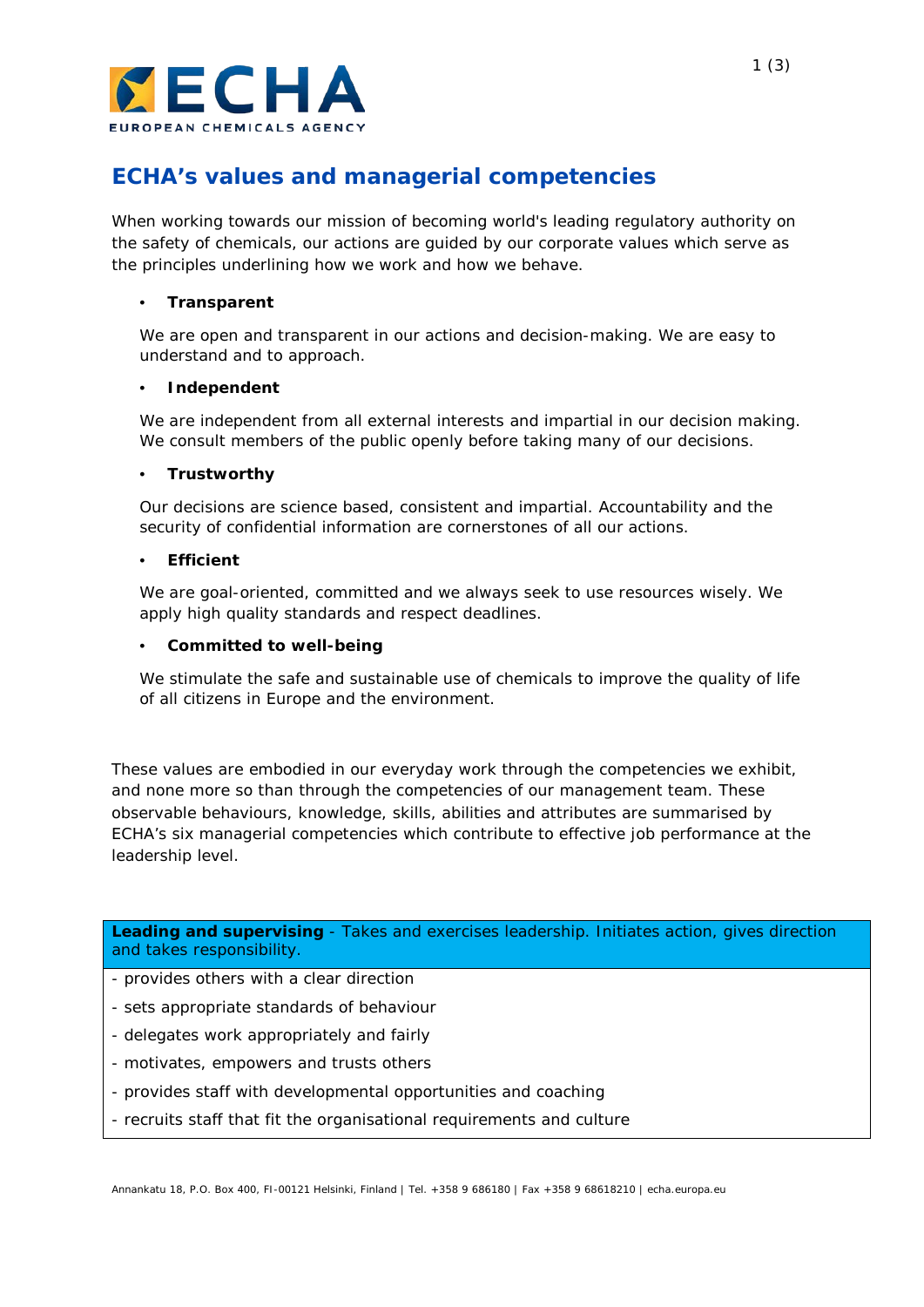

# **ECHA's values and managerial competencies**

When working towards our mission of becoming world's leading regulatory authority on the safety of chemicals, our actions are guided by our corporate values which serve as the principles underlining how we work and how we behave.

#### • **Transparent**

We are open and transparent in our actions and decision-making. We are easy to understand and to approach.

#### • **Independent**

We are independent from all external interests and impartial in our decision making. We consult members of the public openly before taking many of our decisions.

## • **Trustworthy**

Our decisions are science based, consistent and impartial. Accountability and the security of confidential information are cornerstones of all our actions.

## • **Efficient**

We are goal-oriented, committed and we always seek to use resources wisely. We apply high quality standards and respect deadlines.

## • **Committed to well-being**

We stimulate the safe and sustainable use of chemicals to improve the quality of life of all citizens in Europe and the environment.

These values are embodied in our everyday work through the competencies we exhibit, and none more so than through the competencies of our management team. These observable behaviours, knowledge, skills, abilities and attributes are summarised by ECHA's six managerial competencies which contribute to effective job performance at the leadership level.

**Leading and supervising** - Takes and exercises leadership. Initiates action, gives direction and takes responsibility.

- provides others with a clear direction
- sets appropriate standards of behaviour
- delegates work appropriately and fairly
- motivates, empowers and trusts others
- provides staff with developmental opportunities and coaching
- recruits staff that fit the organisational requirements and culture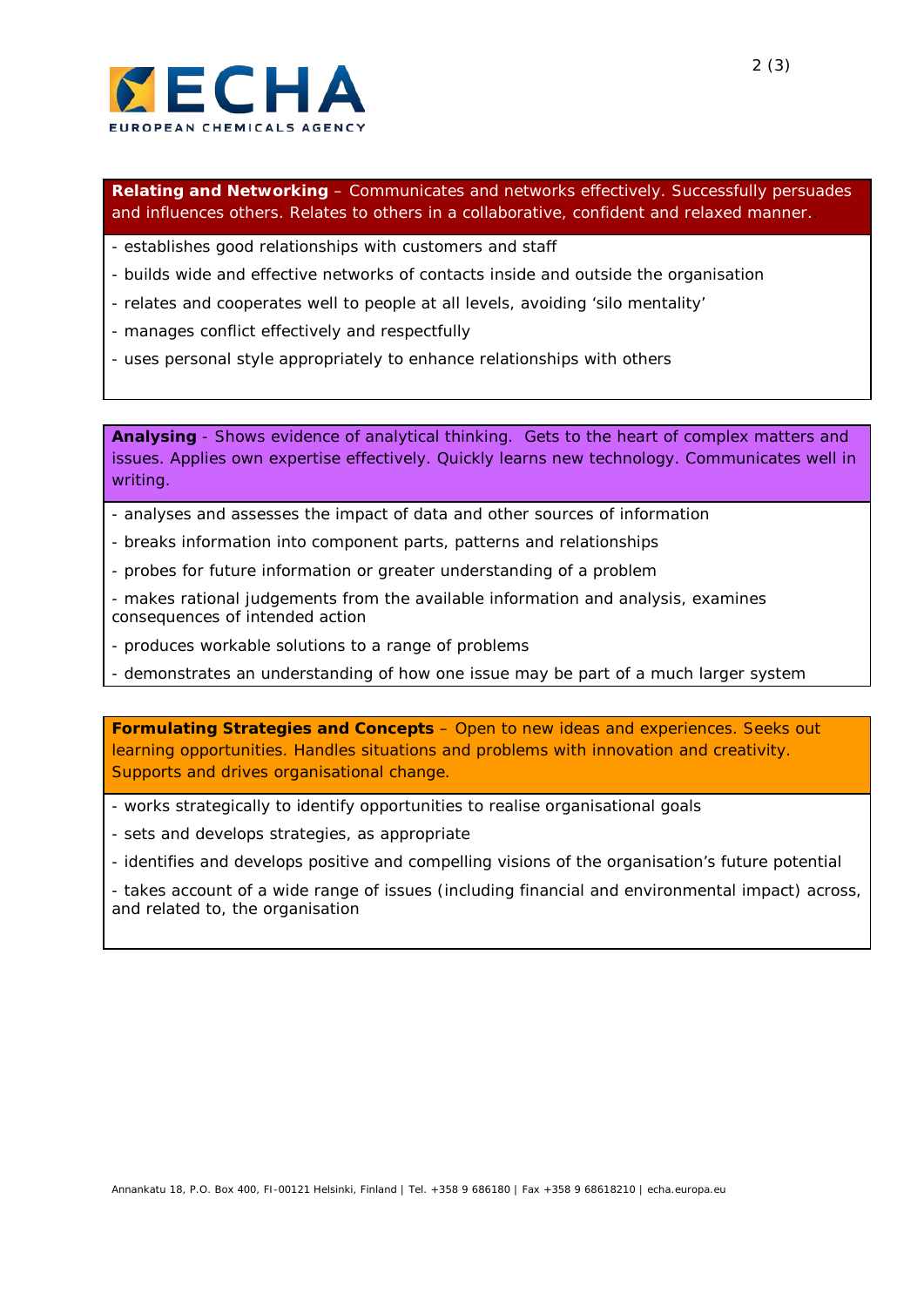

**Relating and Networking** – Communicates and networks effectively. Successfully persuades and influences others. Relates to others in a collaborative, confident and relaxed manner..

- establishes good relationships with customers and staff
- builds wide and effective networks of contacts inside and outside the organisation
- relates and cooperates well to people at all levels, avoiding 'silo mentality'
- manages conflict effectively and respectfully
- uses personal style appropriately to enhance relationships with others

**Analysing** - Shows evidence of analytical thinking. Gets to the heart of complex matters and issues. Applies own expertise effectively. Quickly learns new technology. Communicates well in writing.

- analyses and assesses the impact of data and other sources of information
- breaks information into component parts, patterns and relationships
- probes for future information or greater understanding of a problem

- makes rational judgements from the available information and analysis, examines consequences of intended action

- produces workable solutions to a range of problems
- demonstrates an understanding of how one issue may be part of a much larger system

**Formulating Strategies and Concepts** – Open to new ideas and experiences. Seeks out learning opportunities. Handles situations and problems with innovation and creativity. Supports and drives organisational change.

- works strategically to identify opportunities to realise organisational goals
- sets and develops strategies, as appropriate
- identifies and develops positive and compelling visions of the organisation's future potential

- takes account of a wide range of issues (including financial and environmental impact) across, and related to, the organisation